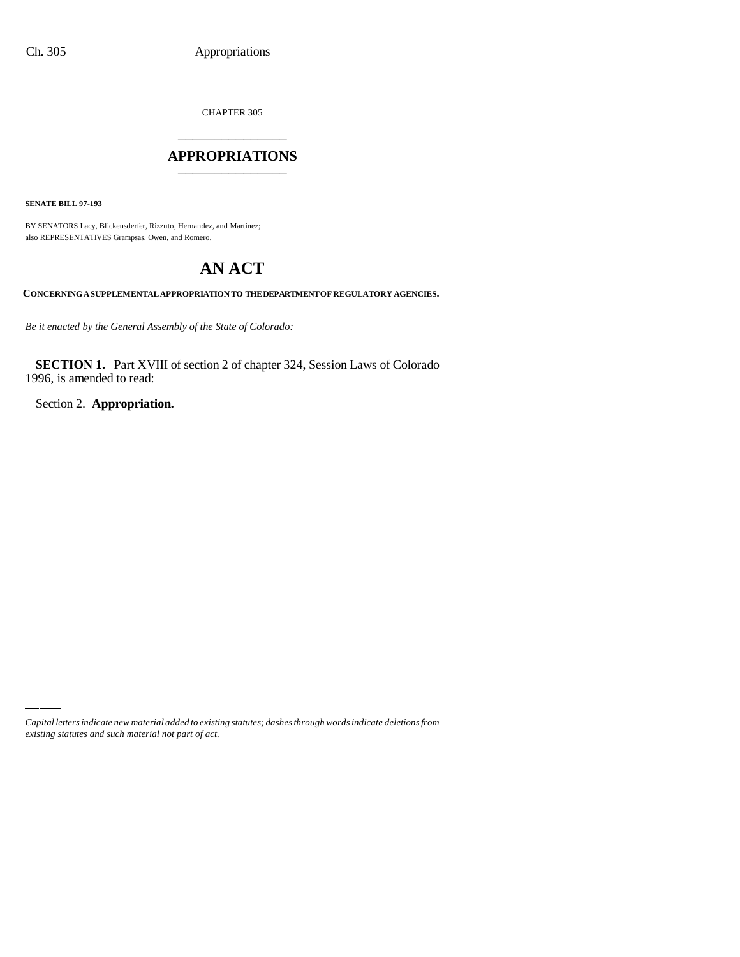CHAPTER 305

## \_\_\_\_\_\_\_\_\_\_\_\_\_\_\_ **APPROPRIATIONS** \_\_\_\_\_\_\_\_\_\_\_\_\_\_\_

**SENATE BILL 97-193**

BY SENATORS Lacy, Blickensderfer, Rizzuto, Hernandez, and Martinez; also REPRESENTATIVES Grampsas, Owen, and Romero.

# **AN ACT**

**CONCERNING A SUPPLEMENTAL APPROPRIATION TO THE DEPARTMENT OF REGULATORY AGENCIES.**

*Be it enacted by the General Assembly of the State of Colorado:*

**SECTION 1.** Part XVIII of section 2 of chapter 324, Session Laws of Colorado 1996, is amended to read:

Section 2. **Appropriation.**

*Capital letters indicate new material added to existing statutes; dashes through words indicate deletions from existing statutes and such material not part of act.*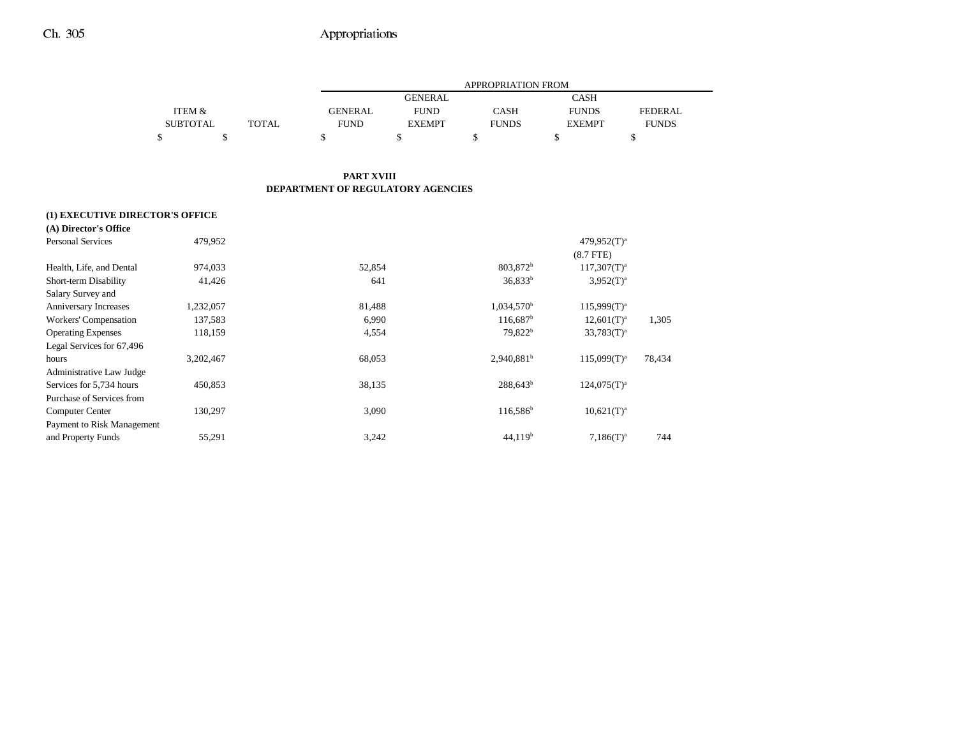|                 |       |                | APPROPRIATION FROM |              |               |                |  |  |  |
|-----------------|-------|----------------|--------------------|--------------|---------------|----------------|--|--|--|
|                 |       |                | <b>GENERAL</b>     |              | <b>CASH</b>   |                |  |  |  |
| ITEM &          |       | <b>GENERAL</b> | <b>FUND</b>        | <b>CASH</b>  | <b>FUNDS</b>  | <b>FEDERAL</b> |  |  |  |
| <b>SUBTOTAL</b> | TOTAL | <b>FUND</b>    | <b>EXEMPT</b>      | <b>FUNDS</b> | <b>EXEMPT</b> | <b>FUNDS</b>   |  |  |  |
|                 |       |                |                    |              |               |                |  |  |  |

#### **PART XVIII DEPARTMENT OF REGULATORY AGENCIES**

| (1) EXECUTIVE DIRECTOR'S OFFICE |           |        |                          |                  |        |
|---------------------------------|-----------|--------|--------------------------|------------------|--------|
| (A) Director's Office           |           |        |                          |                  |        |
| <b>Personal Services</b>        | 479,952   |        |                          | $479,952(T)^a$   |        |
|                                 |           |        |                          | $(8.7$ FTE $)$   |        |
| Health, Life, and Dental        | 974,033   | 52,854 | 803,872 <sup>b</sup>     | $117,307(T)^{a}$ |        |
| Short-term Disability           | 41,426    | 641    | $36.833^{b}$             | $3,952(T)^a$     |        |
| Salary Survey and               |           |        |                          |                  |        |
| Anniversary Increases           | 1,232,057 | 81,488 | $1,034,570^{\rm b}$      | $115,999(T)^{a}$ |        |
| Workers' Compensation           | 137,583   | 6,990  | 116.687 <sup>b</sup>     | $12,601(T)^a$    | 1.305  |
| <b>Operating Expenses</b>       | 118,159   | 4,554  | 79,822 <sup>b</sup>      | $33,783(T)^a$    |        |
| Legal Services for 67,496       |           |        |                          |                  |        |
| hours                           | 3,202,467 | 68,053 | $2,940,881$ <sup>b</sup> | $115,099(T)^{a}$ | 78,434 |
| Administrative Law Judge        |           |        |                          |                  |        |
| Services for 5,734 hours        | 450,853   | 38,135 | $288,643^b$              | $124.075(T)^{a}$ |        |
| Purchase of Services from       |           |        |                          |                  |        |
| Computer Center                 | 130,297   | 3,090  | $116,586^{\circ}$        | $10,621(T)^a$    |        |
| Payment to Risk Management      |           |        |                          |                  |        |
| and Property Funds              | 55,291    | 3,242  | 44,119 <sup>b</sup>      | $7,186(T)^a$     | 744    |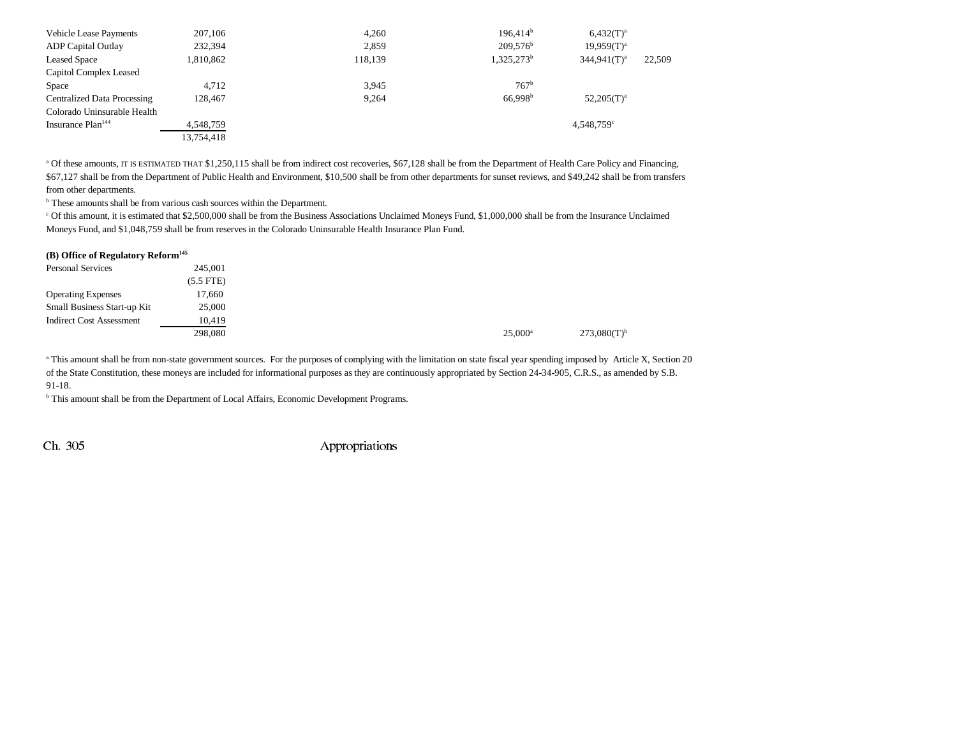| <b>Vehicle Lease Payments</b>      | 207,106    | 4,260   | 196.414 <sup>b</sup>   | $6,432(T)^{a}$           |        |
|------------------------------------|------------|---------|------------------------|--------------------------|--------|
| <b>ADP</b> Capital Outlay          | 232,394    | 2,859   | $209.576^{\rm b}$      | $19,959(T)^a$            |        |
| <b>Leased Space</b>                | 1,810,862  | 118,139 | 1,325,273 <sup>b</sup> | $344.941(T)^a$           | 22,509 |
| Capitol Complex Leased             |            |         |                        |                          |        |
| Space                              | 4.712      | 3,945   | $767^{\rm b}$          |                          |        |
| <b>Centralized Data Processing</b> | 128.467    | 9,264   | 66.998 <sup>b</sup>    | $52,205(T)^a$            |        |
| Colorado Uninsurable Health        |            |         |                        |                          |        |
| Insurance Plan <sup>144</sup>      | 4,548,759  |         |                        | $4.548.759$ <sup>c</sup> |        |
|                                    | 13,754,418 |         |                        |                          |        |

<sup>a</sup> Of these amounts, IT IS ESTIMATED THAT \$1,250,115 shall be from indirect cost recoveries, \$67,128 shall be from the Department of Health Care Policy and Financing, \$67,127 shall be from the Department of Public Health and Environment, \$10,500 shall be from other departments for sunset reviews, and \$49,242 shall be from transfers from other departments.

**b** These amounts shall be from various cash sources within the Department.

c Of this amount, it is estimated that \$2,500,000 shall be from the Business Associations Unclaimed Moneys Fund, \$1,000,000 shall be from the Insurance Unclaimed Moneys Fund, and \$1,048,759 shall be from reserves in the Colorado Uninsurable Health Insurance Plan Fund.

#### **(B) Office of Regulatory Reform145**

| <b>Personal Services</b>        | 245,001     |
|---------------------------------|-------------|
|                                 | $(5.5$ FTE) |
| <b>Operating Expenses</b>       | 17,660      |
| Small Business Start-up Kit     | 25,000      |
| <b>Indirect Cost Assessment</b> | 10.419      |
|                                 | 298,080     |

<sup>a</sup> This amount shall be from non-state government sources. For the purposes of complying with the limitation on state fiscal year spending imposed by Article X, Section 20 of the State Constitution, these moneys are included for informational purposes as they are continuously appropriated by Section 24-34-905, C.R.S., as amended by S.B. 91-18.

b This amount shall be from the Department of Local Affairs, Economic Development Programs.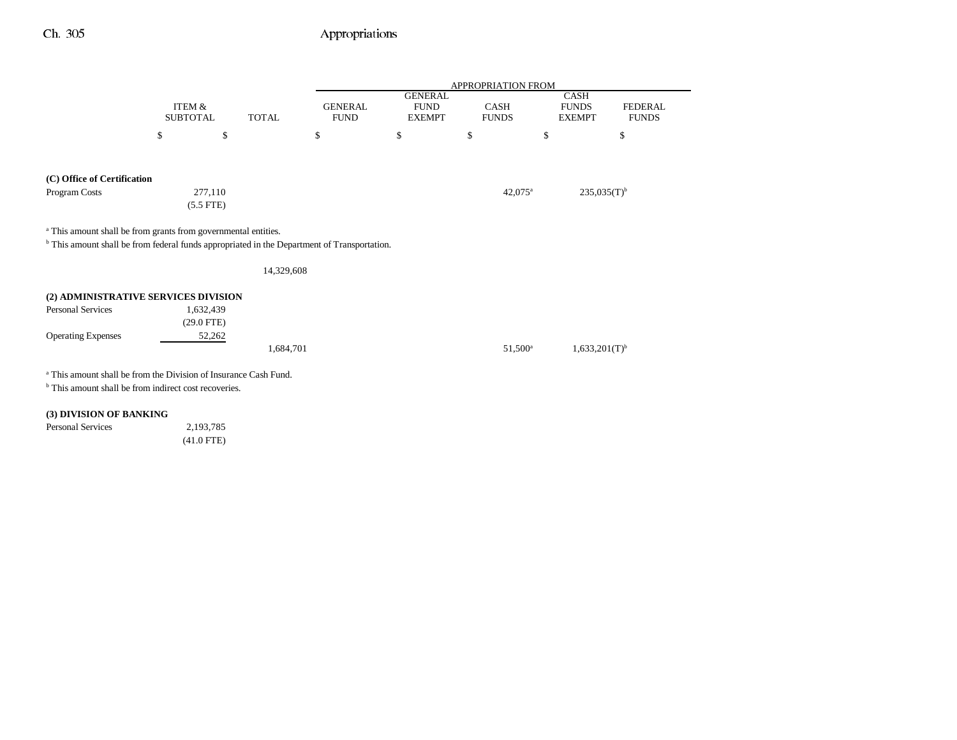|                                                                                                                                                                                     |                 |              | <b>APPROPRIATION FROM</b> |                               |                       |                             |                |
|-------------------------------------------------------------------------------------------------------------------------------------------------------------------------------------|-----------------|--------------|---------------------------|-------------------------------|-----------------------|-----------------------------|----------------|
|                                                                                                                                                                                     | ITEM &          |              | <b>GENERAL</b>            | <b>GENERAL</b><br><b>FUND</b> | CASH                  | <b>CASH</b><br><b>FUNDS</b> | <b>FEDERAL</b> |
|                                                                                                                                                                                     | <b>SUBTOTAL</b> | <b>TOTAL</b> | <b>FUND</b>               | <b>EXEMPT</b>                 | <b>FUNDS</b>          | <b>EXEMPT</b>               | <b>FUNDS</b>   |
|                                                                                                                                                                                     | \$<br>\$        |              | \$                        | \$                            | \$                    | \$                          | \$             |
|                                                                                                                                                                                     |                 |              |                           |                               |                       |                             |                |
| (C) Office of Certification                                                                                                                                                         |                 |              |                           |                               |                       |                             |                |
| Program Costs                                                                                                                                                                       | 277,110         |              |                           |                               | $42,075$ <sup>a</sup> | $235,035(T)$ <sup>b</sup>   |                |
|                                                                                                                                                                                     | $(5.5$ FTE)     |              |                           |                               |                       |                             |                |
|                                                                                                                                                                                     |                 |              |                           |                               |                       |                             |                |
| <sup>a</sup> This amount shall be from grants from governmental entities.<br><sup>b</sup> This amount shall be from federal funds appropriated in the Department of Transportation. |                 |              |                           |                               |                       |                             |                |
|                                                                                                                                                                                     |                 | 14,329,608   |                           |                               |                       |                             |                |
| (2) ADMINISTRATIVE SERVICES DIVISION                                                                                                                                                |                 |              |                           |                               |                       |                             |                |
| <b>Personal Services</b>                                                                                                                                                            | 1,632,439       |              |                           |                               |                       |                             |                |
|                                                                                                                                                                                     | $(29.0$ FTE)    |              |                           |                               |                       |                             |                |
| <b>Operating Expenses</b>                                                                                                                                                           | 52,262          |              |                           |                               |                       |                             |                |
|                                                                                                                                                                                     |                 | 1,684,701    |                           |                               | 51,500 <sup>a</sup>   | $1,633,201(T)$ <sup>b</sup> |                |
| <sup>a</sup> This amount shall be from the Division of Insurance Cash Fund.                                                                                                         |                 |              |                           |                               |                       |                             |                |

b This amount shall be from indirect cost recoveries.

### **(3) DIVISION OF BANKING**

Personal Services 2,193,785 (41.0 FTE)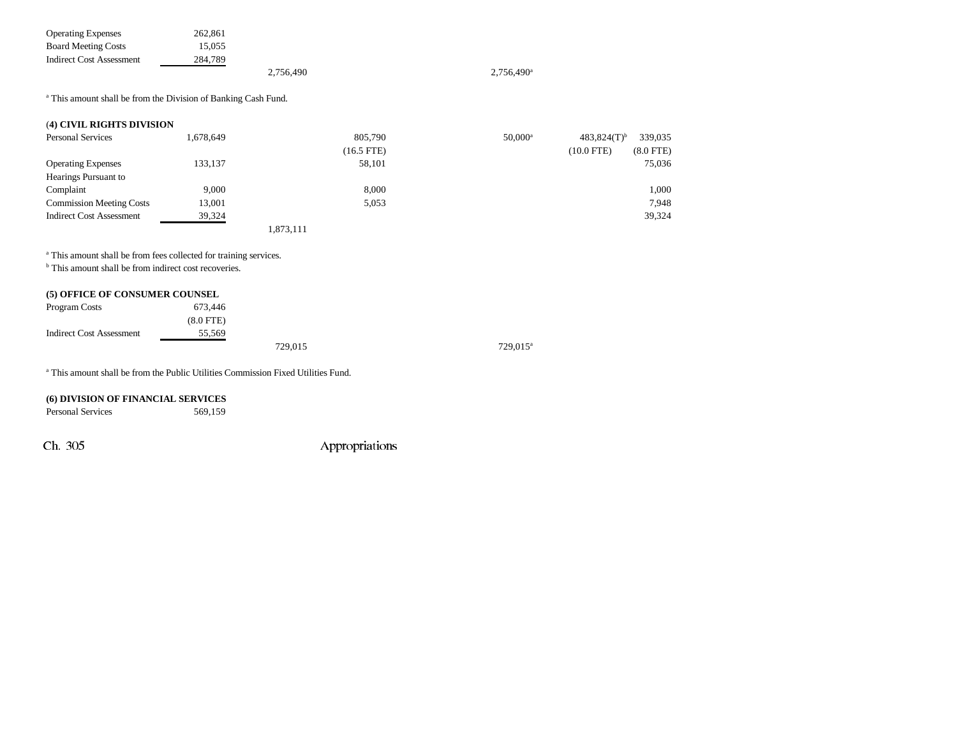| <b>Operating Expenses</b>  | 262,861 |           |                     |
|----------------------------|---------|-----------|---------------------|
| <b>Board Meeting Costs</b> | 15.055  |           |                     |
| Indirect Cost Assessment   | 284.789 |           |                     |
|                            |         | 2.756.490 | $2.756.490^{\circ}$ |

<sup>a</sup> This amount shall be from the Division of Banking Cash Fund.

#### (**4) CIVIL RIGHTS DIVISION**

| <b>Personal Services</b>        | 1,678,649 | 805,790      |        | $50,000^{\rm a}$ | $483,824(T)$ <sup>b</sup> | 339,035        |
|---------------------------------|-----------|--------------|--------|------------------|---------------------------|----------------|
|                                 |           | $(16.5$ FTE) |        |                  | $(10.0$ FTE)              | $(8.0$ FTE $)$ |
| <b>Operating Expenses</b>       | 133,137   |              | 58,101 |                  |                           | 75,036         |
| Hearings Pursuant to            |           |              |        |                  |                           |                |
| Complaint                       | 9.000     |              | 8,000  |                  |                           | 1,000          |
| <b>Commission Meeting Costs</b> | 13,001    |              | 5,053  |                  |                           | 7.948          |
| Indirect Cost Assessment        | 39,324    |              |        |                  |                           | 39,324         |
|                                 |           | 1,873,111    |        |                  |                           |                |

a This amount shall be from fees collected for training services.

<sup>b</sup> This amount shall be from indirect cost recoveries.

#### **(5) OFFICE OF CONSUMER COUNSEL**

| Program Costs                   | 673.446        |         |                      |
|---------------------------------|----------------|---------|----------------------|
|                                 | $(8.0$ FTE $)$ |         |                      |
| <b>Indirect Cost Assessment</b> | 55.569         |         |                      |
|                                 |                | 729.015 | 729,015 <sup>a</sup> |

a This amount shall be from the Public Utilities Commission Fixed Utilities Fund.

#### **(6) DIVISION OF FINANCIAL SERVICES**

Personal Services 569,159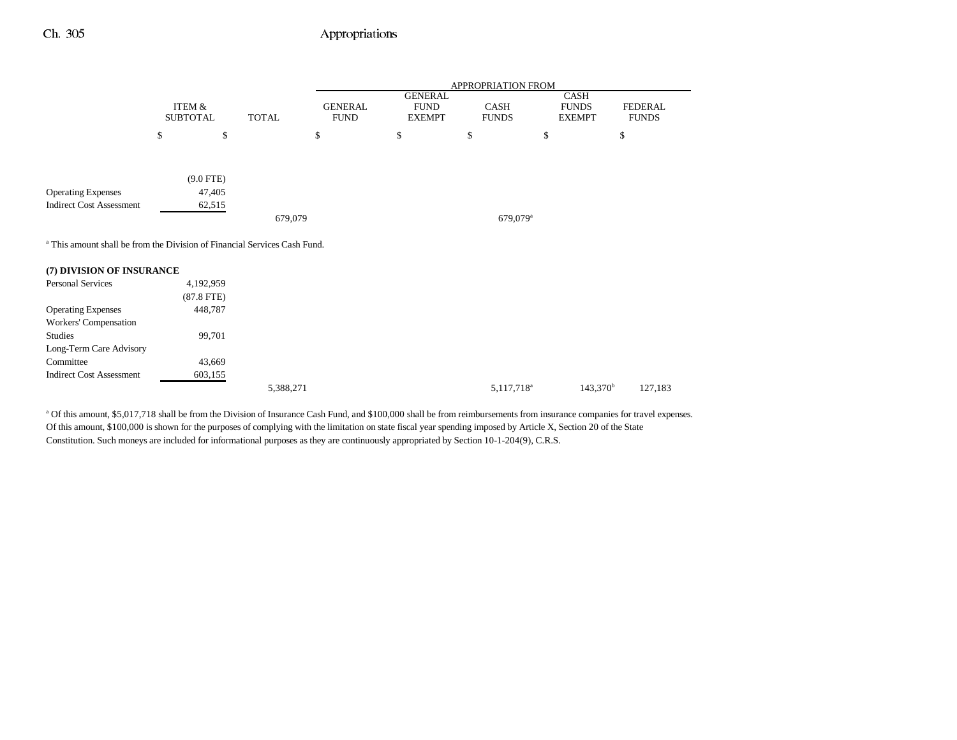|                                                                                      |                                      |              |                               |                                                | APPROPRIATION FROM   |                                              |                         |
|--------------------------------------------------------------------------------------|--------------------------------------|--------------|-------------------------------|------------------------------------------------|----------------------|----------------------------------------------|-------------------------|
|                                                                                      | <b>ITEM &amp;</b><br><b>SUBTOTAL</b> | <b>TOTAL</b> | <b>GENERAL</b><br><b>FUND</b> | <b>GENERAL</b><br><b>FUND</b><br><b>EXEMPT</b> | CASH<br><b>FUNDS</b> | <b>CASH</b><br><b>FUNDS</b><br><b>EXEMPT</b> | FEDERAL<br><b>FUNDS</b> |
|                                                                                      | \$<br>\$                             |              | \$                            | \$                                             | \$                   | \$                                           | \$                      |
|                                                                                      |                                      |              |                               |                                                |                      |                                              |                         |
|                                                                                      | $(9.0$ FTE)                          |              |                               |                                                |                      |                                              |                         |
| <b>Operating Expenses</b>                                                            | 47,405                               |              |                               |                                                |                      |                                              |                         |
| <b>Indirect Cost Assessment</b>                                                      | 62,515                               |              |                               |                                                |                      |                                              |                         |
|                                                                                      |                                      | 679,079      |                               |                                                | 679,079 <sup>a</sup> |                                              |                         |
| <sup>a</sup> This amount shall be from the Division of Financial Services Cash Fund. |                                      |              |                               |                                                |                      |                                              |                         |
| (7) DIVISION OF INSURANCE                                                            |                                      |              |                               |                                                |                      |                                              |                         |
| Personal Services                                                                    | 4,192,959                            |              |                               |                                                |                      |                                              |                         |
|                                                                                      | $(87.8$ FTE)                         |              |                               |                                                |                      |                                              |                         |
| <b>Operating Expenses</b>                                                            | 448,787                              |              |                               |                                                |                      |                                              |                         |
| Workers' Compensation                                                                |                                      |              |                               |                                                |                      |                                              |                         |
| Studies                                                                              | 99,701                               |              |                               |                                                |                      |                                              |                         |
| Long-Term Care Advisory                                                              |                                      |              |                               |                                                |                      |                                              |                         |
| Committee                                                                            | 43,669                               |              |                               |                                                |                      |                                              |                         |
| <b>Indirect Cost Assessment</b>                                                      | 603,155                              |              |                               |                                                |                      |                                              |                         |

| 5,388,271 | 5,117,718 <sup>a</sup> | 143,370 <sup>b</sup> | 127,183 |
|-----------|------------------------|----------------------|---------|
|           |                        |                      |         |

<sup>a</sup> Of this amount, \$5,017,718 shall be from the Division of Insurance Cash Fund, and \$100,000 shall be from reimbursements from insurance companies for travel expenses. Of this amount, \$100,000 is shown for the purposes of complying with the limitation on state fiscal year spending imposed by Article X, Section 20 of the State Constitution. Such moneys are included for informational purposes as they are continuously appropriated by Section 10-1-204(9), C.R.S.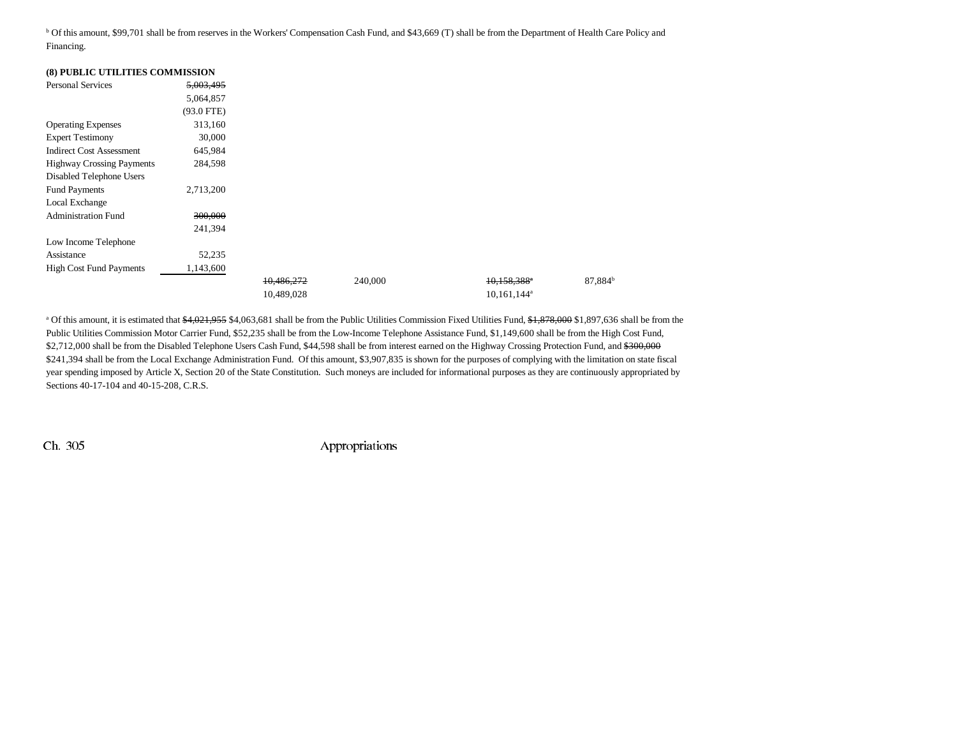b Of this amount, \$99,701 shall be from reserves in the Workers' Compensation Cash Fund, and \$43,669 (T) shall be from the Department of Health Care Policy and Financing.

| (8) PUBLIC UTILITIES COMMISSION  |              |            |         |                           |                     |
|----------------------------------|--------------|------------|---------|---------------------------|---------------------|
| <b>Personal Services</b>         | 5,003,495    |            |         |                           |                     |
|                                  | 5,064,857    |            |         |                           |                     |
|                                  | $(93.0$ FTE) |            |         |                           |                     |
| <b>Operating Expenses</b>        | 313,160      |            |         |                           |                     |
| <b>Expert Testimony</b>          | 30,000       |            |         |                           |                     |
| <b>Indirect Cost Assessment</b>  | 645,984      |            |         |                           |                     |
| <b>Highway Crossing Payments</b> | 284,598      |            |         |                           |                     |
| Disabled Telephone Users         |              |            |         |                           |                     |
| <b>Fund Payments</b>             | 2,713,200    |            |         |                           |                     |
| Local Exchange                   |              |            |         |                           |                     |
| <b>Administration Fund</b>       | 300,000      |            |         |                           |                     |
|                                  | 241,394      |            |         |                           |                     |
| Low Income Telephone             |              |            |         |                           |                     |
| Assistance                       | 52,235       |            |         |                           |                     |
| <b>High Cost Fund Payments</b>   | 1,143,600    |            |         |                           |                     |
|                                  |              | 10,486,272 | 240,000 | 10,158,388*               | 87,884 <sup>b</sup> |
|                                  |              | 10,489,028 |         | $10,161,144$ <sup>a</sup> |                     |

<sup>a</sup> Of this amount, it is estimated that \$4,021,955 \$4,063,681 shall be from the Public Utilities Commission Fixed Utilities Fund, \$1,878,000 \$1,897,636 shall be from the Public Utilities Commission Motor Carrier Fund, \$52,235 shall be from the Low-Income Telephone Assistance Fund, \$1,149,600 shall be from the High Cost Fund, \$2,712,000 shall be from the Disabled Telephone Users Cash Fund, \$44,598 shall be from interest earned on the Highway Crossing Protection Fund, and \$300,000 \$241,394 shall be from the Local Exchange Administration Fund. Of this amount, \$3,907,835 is shown for the purposes of complying with the limitation on state fiscal year spending imposed by Article X, Section 20 of the State Constitution. Such moneys are included for informational purposes as they are continuously appropriated by Sections 40-17-104 and 40-15-208, C.R.S.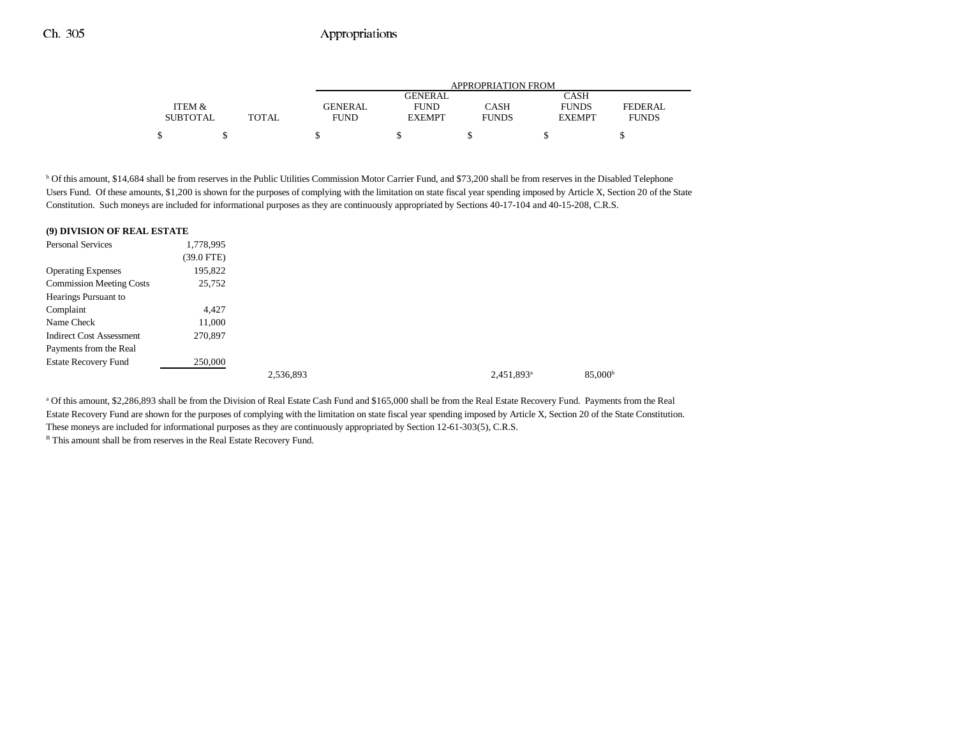|                 |       | APPROPRIATION FROM |               |              |               |              |  |  |  |
|-----------------|-------|--------------------|---------------|--------------|---------------|--------------|--|--|--|
|                 |       |                    | GENERAL       |              | CASH          |              |  |  |  |
| ITEM &          |       | GENERAL            | <b>FUND</b>   | CASH         | <b>FUNDS</b>  | FEDERAL      |  |  |  |
| <b>SUBTOTAL</b> | TOTAL | <b>FUND</b>        | <b>EXEMPT</b> | <b>FUNDS</b> | <b>EXEMPT</b> | <b>FUNDS</b> |  |  |  |
| \$              |       |                    |               |              |               |              |  |  |  |

b Of this amount, \$14,684 shall be from reserves in the Public Utilities Commission Motor Carrier Fund, and \$73,200 shall be from reserves in the Disabled Telephone Users Fund. Of these amounts, \$1,200 is shown for the purposes of complying with the limitation on state fiscal year spending imposed by Article X, Section 20 of the State Constitution. Such moneys are included for informational purposes as they are continuously appropriated by Sections 40-17-104 and 40-15-208, C.R.S.

| (9) DIVISION OF REAL ESTATE     |              |           |                        |
|---------------------------------|--------------|-----------|------------------------|
| <b>Personal Services</b>        | 1,778,995    |           |                        |
|                                 | $(39.0$ FTE) |           |                        |
| <b>Operating Expenses</b>       | 195,822      |           |                        |
| <b>Commission Meeting Costs</b> | 25,752       |           |                        |
| Hearings Pursuant to            |              |           |                        |
| Complaint                       | 4.427        |           |                        |
| Name Check                      | 11,000       |           |                        |
| <b>Indirect Cost Assessment</b> | 270,897      |           |                        |
| Payments from the Real          |              |           |                        |
| <b>Estate Recovery Fund</b>     | 250,000      |           |                        |
|                                 |              | 2,536,893 | 2,451,893 <sup>a</sup> |

a Of this amount, \$2,286,893 shall be from the Division of Real Estate Cash Fund and \$165,000 shall be from the Real Estate Recovery Fund. Payments from the Real Estate Recovery Fund are shown for the purposes of complying with the limitation on state fiscal year spending imposed by Article X, Section 20 of the State Constitution. These moneys are included for informational purposes as they are continuously appropriated by Section 12-61-303(5), C.R.S.

<sup>B</sup> This amount shall be from reserves in the Real Estate Recovery Fund.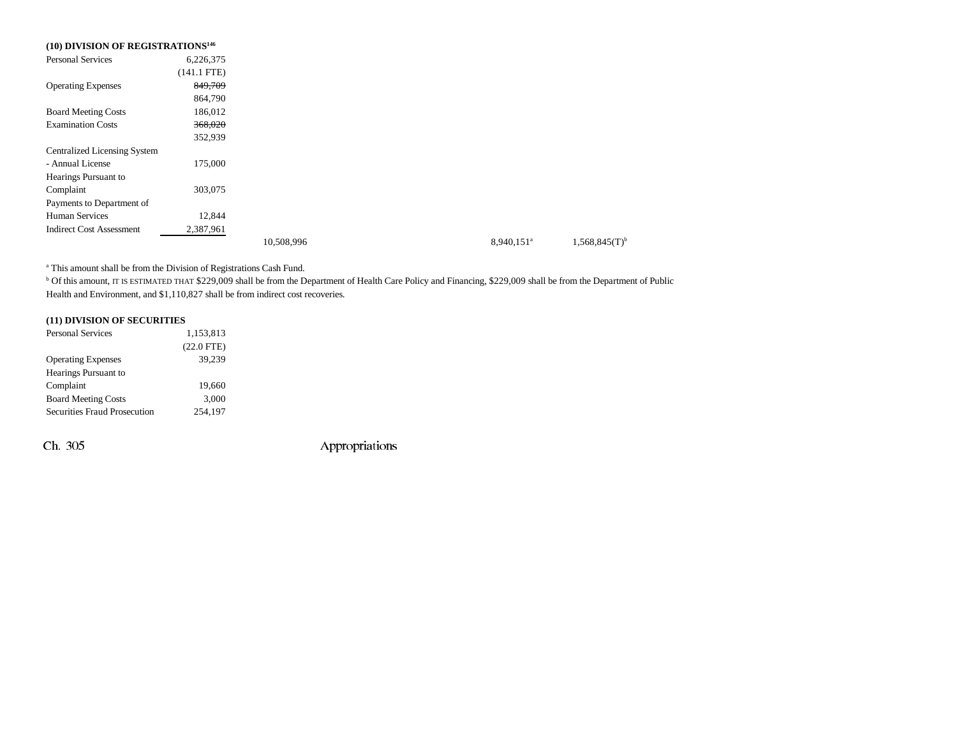| (10) DIVISION OF REGISTRATIONS <sup>146</sup> |               |            |                        |
|-----------------------------------------------|---------------|------------|------------------------|
| <b>Personal Services</b>                      | 6,226,375     |            |                        |
|                                               | $(141.1$ FTE) |            |                        |
| <b>Operating Expenses</b>                     | 849,709       |            |                        |
|                                               | 864,790       |            |                        |
| <b>Board Meeting Costs</b>                    | 186,012       |            |                        |
| <b>Examination Costs</b>                      | 368,020       |            |                        |
|                                               | 352,939       |            |                        |
| <b>Centralized Licensing System</b>           |               |            |                        |
| - Annual License                              | 175,000       |            |                        |
| Hearings Pursuant to                          |               |            |                        |
| Complaint                                     | 303,075       |            |                        |
| Payments to Department of                     |               |            |                        |
| <b>Human Services</b>                         | 12,844        |            |                        |
| <b>Indirect Cost Assessment</b>               | 2,387,961     |            |                        |
|                                               |               | 10,508,996 | 8,940,151 <sup>a</sup> |

a This amount shall be from the Division of Registrations Cash Fund.

<sup>b</sup> Of this amount, IT IS ESTIMATED THAT \$229,009 shall be from the Department of Health Care Policy and Financing, \$229,009 shall be from the Department of Public Health and Environment, and \$1,110,827 shall be from indirect cost recoveries.

### **(11) DIVISION OF SECURITIES**

| <b>Personal Services</b>            | 1,153,813    |  |  |  |
|-------------------------------------|--------------|--|--|--|
|                                     | $(22.0$ FTE) |  |  |  |
| <b>Operating Expenses</b>           | 39,239       |  |  |  |
| Hearings Pursuant to                |              |  |  |  |
| Complaint                           | 19.660       |  |  |  |
| <b>Board Meeting Costs</b>          | 3,000        |  |  |  |
| <b>Securities Fraud Prosecution</b> | 254.197      |  |  |  |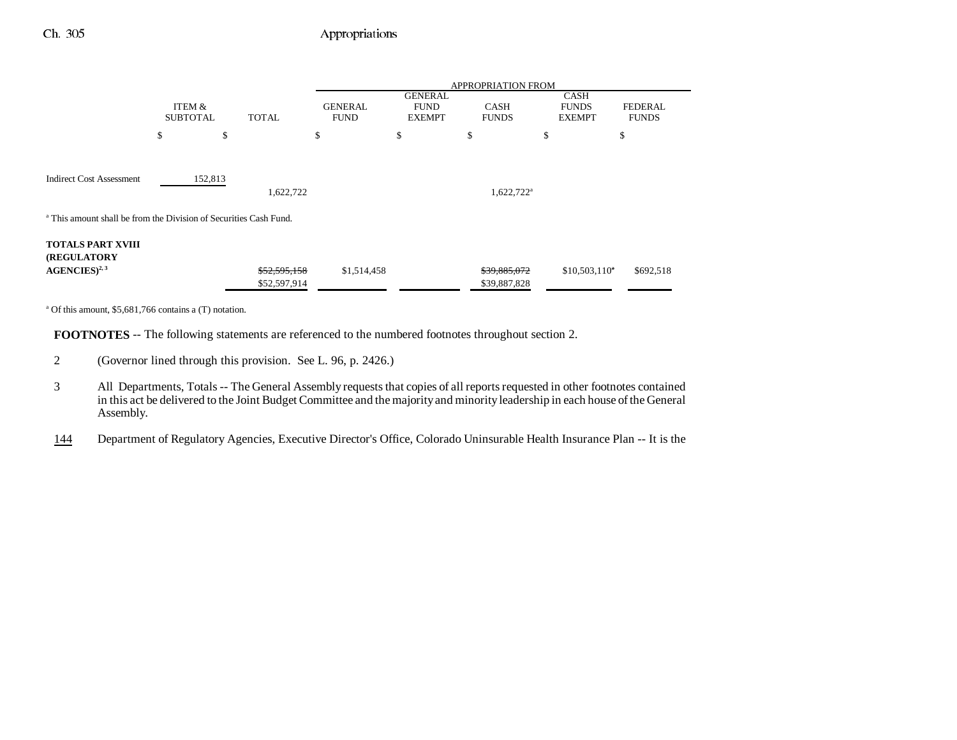|                                                                              | <b>APPROPRIATION FROM</b>                 |              |                               |                                                |                             |                                              |                                |
|------------------------------------------------------------------------------|-------------------------------------------|--------------|-------------------------------|------------------------------------------------|-----------------------------|----------------------------------------------|--------------------------------|
|                                                                              | ITEM &<br><b>SUBTOTAL</b><br><b>TOTAL</b> |              | <b>GENERAL</b><br><b>FUND</b> | <b>GENERAL</b><br><b>FUND</b><br><b>EXEMPT</b> | <b>CASH</b><br><b>FUNDS</b> | <b>CASH</b><br><b>FUNDS</b><br><b>EXEMPT</b> | <b>FEDERAL</b><br><b>FUNDS</b> |
|                                                                              | \$                                        | \$           | \$                            | \$                                             | \$                          | \$                                           | \$                             |
|                                                                              |                                           |              |                               |                                                |                             |                                              |                                |
| <b>Indirect Cost Assessment</b>                                              | 152,813                                   | 1,622,722    |                               |                                                | $1,622,722$ <sup>a</sup>    |                                              |                                |
| <sup>a</sup> This amount shall be from the Division of Securities Cash Fund. |                                           |              |                               |                                                |                             |                                              |                                |
| <b>TOTALS PART XVIII</b><br><b>(REGULATORY)</b>                              |                                           |              |                               |                                                |                             |                                              |                                |
| $AGENCES)^{2,3}$                                                             |                                           | \$52,595,158 | \$1,514,458                   |                                                | \$39,885,072                | $$10,503,110^4$                              | \$692,518                      |
|                                                                              |                                           | \$52,597,914 |                               |                                                | \$39,887,828                |                                              |                                |
|                                                                              |                                           |              |                               |                                                |                             |                                              |                                |

a Of this amount, \$5,681,766 contains a (T) notation.

**FOOTNOTES** -- The following statements are referenced to the numbered footnotes throughout section 2.

- 2 (Governor lined through this provision. See L. 96, p. 2426.)
- 3 All Departments, Totals -- The General Assembly requests that copies of all reports requested in other footnotes contained in this act be delivered to the Joint Budget Committee and the majority and minority leadership in each house of the General Assembly.

144Department of Regulatory Agencies, Executive Director's Office, Colorado Uninsurable Health Insurance Plan -- It is the